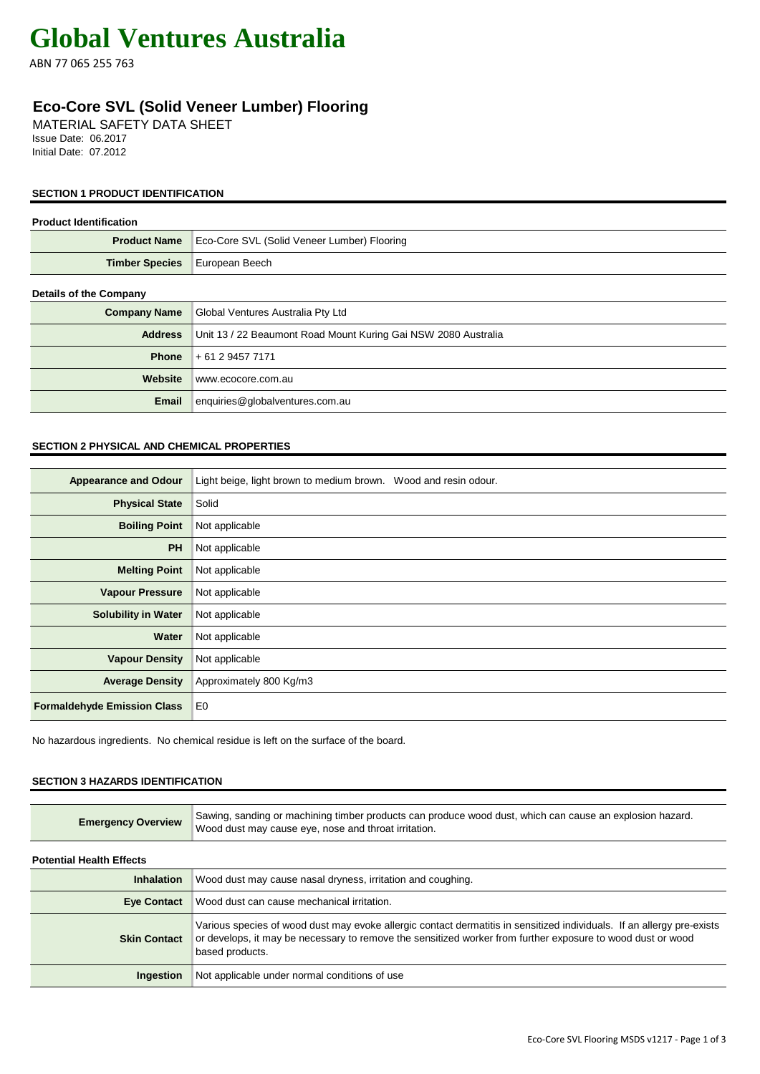# **Global Ventures Australia**

ABN 77 065 255 763

# **Eco-Core SVL (Solid Veneer Lumber) Flooring**

MATERIAL SAFETY DATA SHEET Issue Date: 06.2017 Initial Date: 07.2012

# **SECTION 1 PRODUCT IDENTIFICATION**

## **Product Identification**

| <b>Product Name</b>           | Eco-Core SVL (Solid Veneer Lumber) Flooring                    |
|-------------------------------|----------------------------------------------------------------|
| <b>Timber Species</b>         | European Beech                                                 |
| <b>Details of the Company</b> |                                                                |
| <b>Company Name</b>           | Global Ventures Australia Pty Ltd                              |
| <b>Address</b>                | Unit 13 / 22 Beaumont Road Mount Kuring Gai NSW 2080 Australia |
| <b>Phone</b>                  | + 61 2 9457 7171                                               |
| Website                       | www.ecocore.com.au                                             |
| <b>Email</b>                  | enquiries@globalventures.com.au                                |
|                               |                                                                |

# **SECTION 2 PHYSICAL AND CHEMICAL PROPERTIES**

| <b>Appearance and Odour</b>        | Light beige, light brown to medium brown. Wood and resin odour. |
|------------------------------------|-----------------------------------------------------------------|
| <b>Physical State</b>              | Solid                                                           |
| <b>Boiling Point</b>               | Not applicable                                                  |
| <b>PH</b>                          | Not applicable                                                  |
| <b>Melting Point</b>               | Not applicable                                                  |
| <b>Vapour Pressure</b>             | Not applicable                                                  |
| <b>Solubility in Water</b>         | Not applicable                                                  |
| Water                              | Not applicable                                                  |
| <b>Vapour Density</b>              | Not applicable                                                  |
| <b>Average Density</b>             | Approximately 800 Kg/m3                                         |
| <b>Formaldehyde Emission Class</b> | E <sub>0</sub>                                                  |

No hazardous ingredients. No chemical residue is left on the surface of the board.

# **SECTION 3 HAZARDS IDENTIFICATION**

| <b>Emergency Overview</b>       | Sawing, sanding or machining timber products can produce wood dust, which can cause an explosion hazard.<br>Wood dust may cause eye, nose and throat irritation.                                                                                         |
|---------------------------------|----------------------------------------------------------------------------------------------------------------------------------------------------------------------------------------------------------------------------------------------------------|
| <b>Potential Health Effects</b> |                                                                                                                                                                                                                                                          |
| <b>Inhalation</b>               | Wood dust may cause nasal dryness, irritation and coughing.                                                                                                                                                                                              |
| <b>Eye Contact</b>              | Wood dust can cause mechanical irritation.                                                                                                                                                                                                               |
| <b>Skin Contact</b>             | Various species of wood dust may evoke allergic contact dermatitis in sensitized individuals. If an allergy pre-exists<br>or develops, it may be necessary to remove the sensitized worker from further exposure to wood dust or wood<br>based products. |
| Ingestion                       | Not applicable under normal conditions of use                                                                                                                                                                                                            |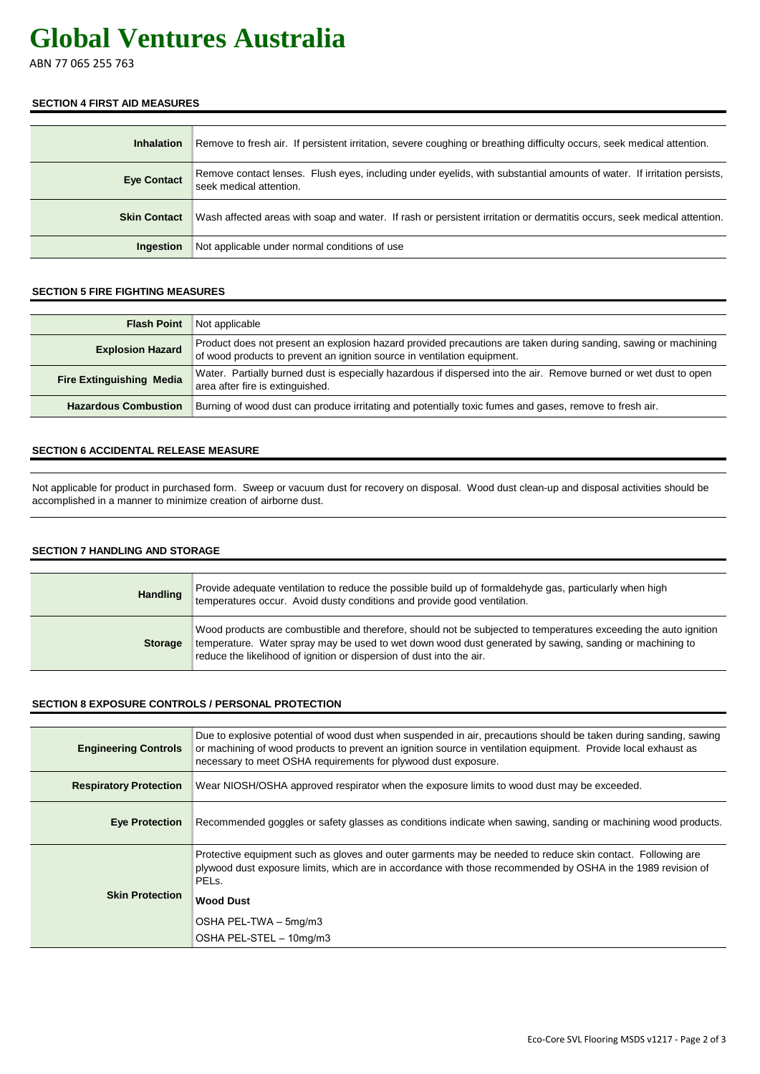# **Global Ventures Australia**

ABN 77 065 255 763

### **SECTION 4 FIRST AID MEASURES**

| <b>Inhalation</b>   | Remove to fresh air. If persistent irritation, severe coughing or breathing difficulty occurs, seek medical attention.                            |
|---------------------|---------------------------------------------------------------------------------------------------------------------------------------------------|
| <b>Eye Contact</b>  | Remove contact lenses. Flush eyes, including under eyelids, with substantial amounts of water. If irritation persists,<br>seek medical attention. |
| <b>Skin Contact</b> | Wash affected areas with soap and water. If rash or persistent irritation or dermatitis occurs, seek medical attention.                           |
| Ingestion           | Not applicable under normal conditions of use                                                                                                     |

# **SECTION 5 FIRE FIGHTING MEASURES**

| <b>Flash Point</b>              | Not applicable                                                                                                                                                                              |
|---------------------------------|---------------------------------------------------------------------------------------------------------------------------------------------------------------------------------------------|
| <b>Explosion Hazard</b>         | Product does not present an explosion hazard provided precautions are taken during sanding, sawing or machining<br>of wood products to prevent an ignition source in ventilation equipment. |
| <b>Fire Extinguishing Media</b> | Water. Partially burned dust is especially hazardous if dispersed into the air. Remove burned or wet dust to open<br>area after fire is extinguished.                                       |
| <b>Hazardous Combustion</b>     | Burning of wood dust can produce irritating and potentially toxic fumes and gases, remove to fresh air.                                                                                     |

#### **SECTION 6 ACCIDENTAL RELEASE MEASURE**

Not applicable for product in purchased form. Sweep or vacuum dust for recovery on disposal. Wood dust clean-up and disposal activities should be accomplished in a manner to minimize creation of airborne dust.

# **SECTION 7 HANDLING AND STORAGE**

| Handling       | Provide adequate ventilation to reduce the possible build up of formaldehyde gas, particularly when high<br>temperatures occur. Avoid dusty conditions and provide good ventilation.                                                                                                                 |
|----------------|------------------------------------------------------------------------------------------------------------------------------------------------------------------------------------------------------------------------------------------------------------------------------------------------------|
| <b>Storage</b> | Wood products are combustible and therefore, should not be subjected to temperatures exceeding the auto ignition<br>temperature. Water spray may be used to wet down wood dust generated by sawing, sanding or machining to<br>reduce the likelihood of ignition or dispersion of dust into the air. |

#### **SECTION 8 EXPOSURE CONTROLS / PERSONAL PROTECTION**

| <b>Engineering Controls</b>   | Due to explosive potential of wood dust when suspended in air, precautions should be taken during sanding, sawing<br>or machining of wood products to prevent an ignition source in ventilation equipment. Provide local exhaust as<br>necessary to meet OSHA requirements for plywood dust exposure. |
|-------------------------------|-------------------------------------------------------------------------------------------------------------------------------------------------------------------------------------------------------------------------------------------------------------------------------------------------------|
| <b>Respiratory Protection</b> | Wear NIOSH/OSHA approved respirator when the exposure limits to wood dust may be exceeded.                                                                                                                                                                                                            |
| <b>Eye Protection</b>         | Recommended goggles or safety glasses as conditions indicate when sawing, sanding or machining wood products.                                                                                                                                                                                         |
| <b>Skin Protection</b>        | Protective equipment such as gloves and outer garments may be needed to reduce skin contact. Following are<br>plywood dust exposure limits, which are in accordance with those recommended by OSHA in the 1989 revision of<br>PEL <sub>s</sub> .                                                      |
|                               | <b>Wood Dust</b>                                                                                                                                                                                                                                                                                      |
|                               | OSHA PEL-TWA - 5mg/m3                                                                                                                                                                                                                                                                                 |
|                               | OSHA PEL-STEL - 10mg/m3                                                                                                                                                                                                                                                                               |